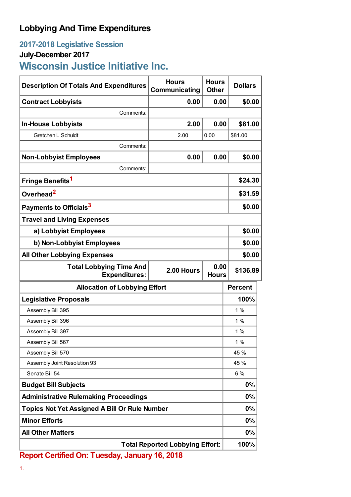## **Lobbying And Time Expenditures**

## **2017-2018 Legislative Session**

## **July-December 2017**

**Wisconsin Justice Initiative Inc.**

| <b>Description Of Totals And Expenditures</b>          | <b>Hours</b><br>Communicating | <b>Hours</b><br><b>Other</b> | <b>Dollars</b> |
|--------------------------------------------------------|-------------------------------|------------------------------|----------------|
| <b>Contract Lobbyists</b>                              | 0.00                          | 0.00                         | \$0.00         |
| Comments:                                              |                               |                              |                |
| <b>In-House Lobbyists</b>                              | 2.00                          | 0.00                         | \$81.00        |
| Gretchen L Schuldt                                     | 2.00                          | 0.00                         | \$81.00        |
| Comments:                                              |                               |                              |                |
| <b>Non-Lobbyist Employees</b>                          | 0.00                          | 0.00                         | \$0.00         |
| Comments:                                              |                               |                              |                |
| Fringe Benefits <sup>1</sup>                           |                               |                              | \$24.30        |
| Overhead <sup>2</sup>                                  |                               |                              | \$31.59        |
| Payments to Officials <sup>3</sup>                     |                               |                              | \$0.00         |
| <b>Travel and Living Expenses</b>                      |                               |                              |                |
| a) Lobbyist Employees                                  |                               |                              | \$0.00         |
| b) Non-Lobbyist Employees                              |                               |                              | \$0.00         |
| <b>All Other Lobbying Expenses</b>                     |                               |                              | \$0.00         |
| <b>Total Lobbying Time And</b><br><b>Expenditures:</b> | 2.00 Hours                    | 0.00<br><b>Hours</b>         | \$136.89       |
| <b>Allocation of Lobbying Effort</b>                   |                               |                              | <b>Percent</b> |
| <b>Legislative Proposals</b>                           |                               |                              | 100%           |
| Assembly Bill 395                                      |                               |                              | 1%             |
| Assembly Bill 396                                      |                               |                              | 1%             |
| Assembly Bill 397                                      |                               |                              | 1%             |
| Assembly Bill 567                                      |                               |                              | 1%             |
| Assembly Bill 570                                      |                               |                              | 45 %           |
| Assembly Joint Resolution 93                           |                               |                              | 45 %           |
| Senate Bill 54                                         |                               |                              | 6 %            |
| <b>Budget Bill Subjects</b>                            |                               |                              | $0\%$          |
| <b>Administrative Rulemaking Proceedings</b>           |                               |                              | $0\%$          |
| <b>Topics Not Yet Assigned A Bill Or Rule Number</b>   |                               |                              | 0%             |
| <b>Minor Efforts</b>                                   |                               |                              | $0\%$          |
| <b>All Other Matters</b>                               |                               |                              | 0%             |
| <b>Total Reported Lobbying Effort:</b>                 |                               |                              | 100%           |

**Report Certified On: Tuesday, January 16, 2018**